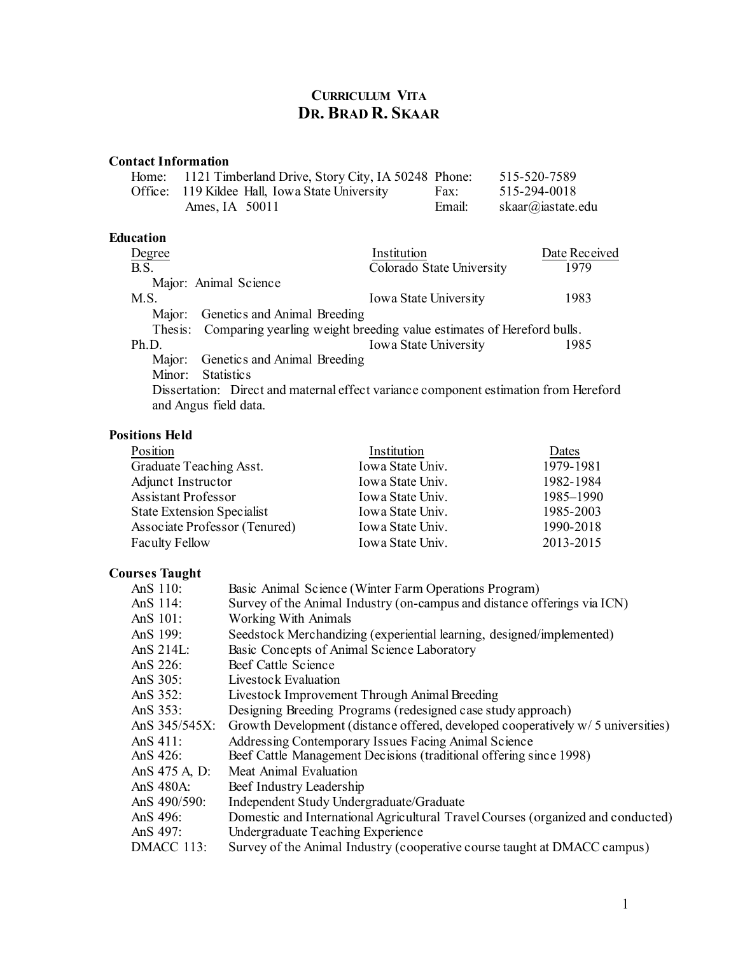# **CURRICULUM VITA DR. BRAD R. SKAAR**

### **Contact Information**

| Home: 1121 Timberland Drive, Story City, IA 50248 Phone: |        | 515-520-7589      |
|----------------------------------------------------------|--------|-------------------|
| Office: 119 Kildee Hall, Iowa State University           | Fax:   | 515-294-0018      |
| Ames. IA $50011$                                         | Email: | skaar@iastate.edu |

### **Education**

| Degree                                                                               | Institution                                                                   | Date Received |  |
|--------------------------------------------------------------------------------------|-------------------------------------------------------------------------------|---------------|--|
| B.S.                                                                                 | Colorado State University                                                     | 1979          |  |
|                                                                                      | Major: Animal Science                                                         |               |  |
| M.S.                                                                                 | <b>Iowa State University</b>                                                  | 1983          |  |
|                                                                                      | Major: Genetics and Animal Breeding                                           |               |  |
|                                                                                      | Thesis: Comparing yearling weight breeding value estimates of Hereford bulls. |               |  |
| Ph.D.                                                                                | Iowa State University                                                         | 1985          |  |
|                                                                                      | Major: Genetics and Animal Breeding                                           |               |  |
|                                                                                      | Minor: Statistics                                                             |               |  |
| Dissertation: Direct and maternal effect variance component estimation from Hereford |                                                                               |               |  |

# and Angus field data.

### **Positions Held**

| Position                      | Institution      | Dates     |
|-------------------------------|------------------|-----------|
| Graduate Teaching Asst.       | Iowa State Univ. | 1979-1981 |
| Adjunct Instructor            | Iowa State Univ. | 1982-1984 |
| <b>Assistant Professor</b>    | Iowa State Univ. | 1985–1990 |
| State Extension Specialist    | Iowa State Univ. | 1985-2003 |
| Associate Professor (Tenured) | Iowa State Univ. | 1990-2018 |
| <b>Faculty Fellow</b>         | Iowa State Univ. | 2013-2015 |

## **Courses Taught**

| AnS 110:      | Basic Animal Science (Winter Farm Operations Program)                             |
|---------------|-----------------------------------------------------------------------------------|
| AnS 114:      | Survey of the Animal Industry (on-campus and distance offerings via ICN)          |
| AnS 101:      | <b>Working With Animals</b>                                                       |
| AnS $199:$    | Seedstock Merchandizing (experiential learning, designed/implemented)             |
| Ans $214L$ :  | Basic Concepts of Animal Science Laboratory                                       |
| AnS $226$ :   | Beef Cattle Science                                                               |
| AnS $305$ :   | Livestock Evaluation                                                              |
| AnS $352$ :   | Livestock Improvement Through Animal Breeding                                     |
| AnS $353$ :   | Designing Breeding Programs (redesigned case study approach)                      |
| AnS 345/545X: | Growth Development (distance offered, developed cooperatively $w/5$ universities) |
| AnS $411$ :   | Addressing Contemporary Issues Facing Animal Science                              |
| AnS $426$ :   | Beef Cattle Management Decisions (traditional offering since 1998)                |
| AnS 475 A, D: | Meat Animal Evaluation                                                            |
| AnS 480A:     | Beef Industry Leadership                                                          |
| AnS 490/590:  | Independent Study Undergraduate/Graduate                                          |
| AnS $496$ :   | Domestic and International Agricultural Travel Courses (organized and conducted)  |
| AnS $497$ :   | Undergraduate Teaching Experience                                                 |
| DMACC 113:    | Survey of the Animal Industry (cooperative course taught at DMACC campus)         |
|               |                                                                                   |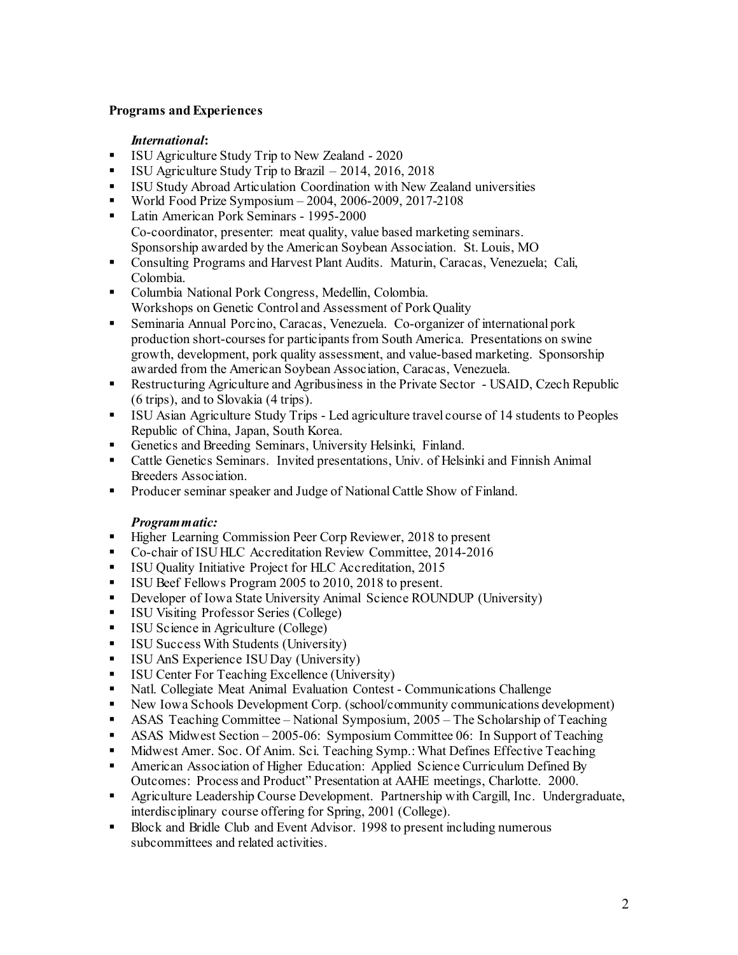### **Programs and Experiences**

#### *International***:**

- **ISU Agriculture Study Trip to New Zealand 2020**
- ISU Agriculture Study Trip to Brazil 2014, 2016, 2018
- ISU Study Abroad Articulation Coordination with New Zealand universities
- World Food Prize Symposium 2004, 2006-2009, 2017-2108
- Latin American Pork Seminars 1995-2000 Co-coordinator, presenter: meat quality, value based marketing seminars. Sponsorship awarded by the American Soybean Association. St. Louis, MO
- Consulting Programs and Harvest Plant Audits. Maturin, Caracas, Venezuela; Cali, Colombia.
- Columbia National Pork Congress, Medellin, Colombia. Workshops on Genetic Control and Assessment of Pork Quality
- Seminaria Annual Porcino, Caracas, Venezuela. Co-organizer of international pork production short-courses for participants from South America. Presentations on swine growth, development, pork quality assessment, and value-based marketing. Sponsorship awarded from the American Soybean Association, Caracas, Venezuela.
- Restructuring Agriculture and Agribusiness in the Private Sector USAID, Czech Republic (6 trips), and to Slovakia (4 trips).
- ISU Asian Agriculture Study Trips Led agriculture travel course of 14 students to Peoples Republic of China, Japan, South Korea.
- Genetics and Breeding Seminars, University Helsinki, Finland.
- Cattle Genetics Seminars. Invited presentations, Univ. of Helsinki and Finnish Animal Breeders Association.
- **Producer seminar speaker and Judge of National Cattle Show of Finland.**

#### *Programmatic:*

- Higher Learning Commission Peer Corp Reviewer, 2018 to present
- Co-chair of ISU HLC Accreditation Review Committee, 2014-2016
- **ISU Quality Initiative Project for HLC Accreditation, 2015**
- ISU Beef Fellows Program 2005 to 2010, 2018 to present.
- Developer of Iowa State University Animal Science ROUNDUP (University)<br>■ ISU Visiting Professor Series (College)
- ISU Visiting Professor Series (College)
- **ISU Science in Agriculture (College)**
- ISU Success With Students (University)
- **ISU AnS Experience ISU Day (University)**
- **ISU Center For Teaching Excellence (University)**<br>• Natl. Collegiate Meat Animal Evaluation Contest
- Natl. Collegiate Meat Animal Evaluation Contest Communications Challenge
- New Iowa Schools Development Corp. (school/community communications development)
- ASAS Teaching Committee National Symposium, 2005 The Scholarship of Teaching
- ASAS Midwest Section 2005-06: Symposium Committee 06: In Support of Teaching
- Midwest Amer. Soc. Of Anim. Sci. Teaching Symp.: What Defines Effective Teaching
- American Association of Higher Education: Applied Science Curriculum Defined By Outcomes: Process and Product" Presentation at AAHE meetings, Charlotte. 2000.
- Agriculture Leadership Course Development. Partnership with Cargill, Inc. Undergraduate, interdisciplinary course offering for Spring, 2001 (College).
- Block and Bridle Club and Event Advisor. 1998 to present including numerous subcommittees and related activities.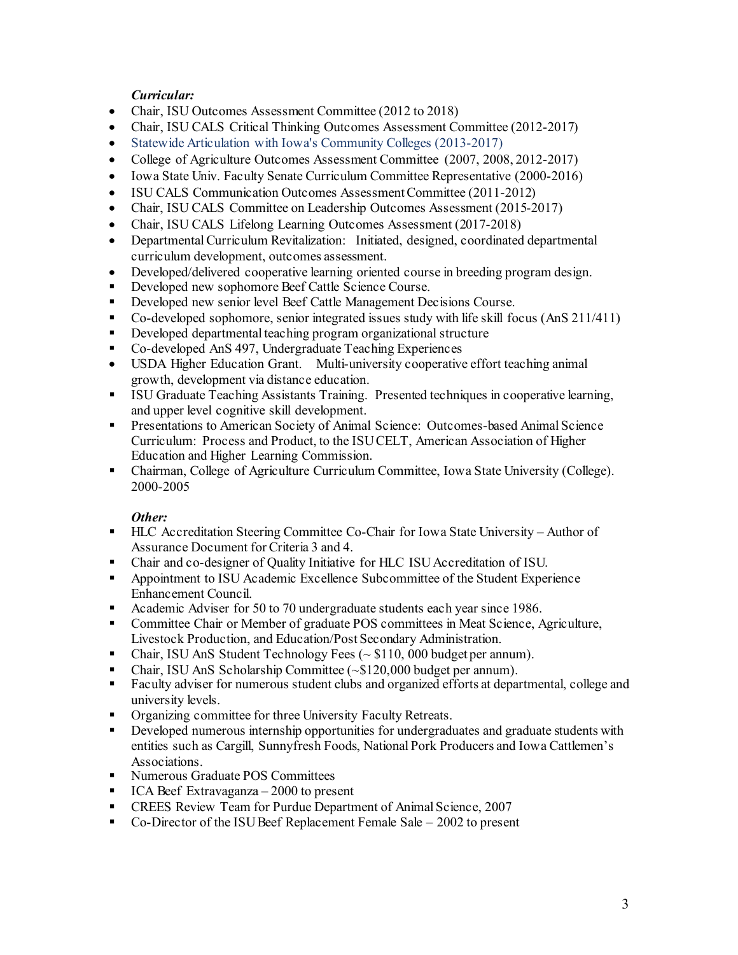### *Curricular:*

- Chair, ISU Outcomes Assessment Committee (2012 to 2018)
- Chair, ISU CALS Critical Thinking Outcomes Assessment Committee (2012-2017)
- Statewide Articulation with Iowa's Community Colleges (2013-2017)
- College of Agriculture Outcomes Assessment Committee (2007, 2008, 2012-2017)
- Iowa State Univ. Faculty Senate Curriculum Committee Representative (2000-2016)
- ISU CALS Communication Outcomes Assessment Committee (2011-2012)
- Chair, ISU CALS Committee on Leadership Outcomes Assessment (2015-2017)
- Chair, ISU CALS Lifelong Learning Outcomes Assessment (2017-2018)
- Departmental Curriculum Revitalization: Initiated, designed, coordinated departmental curriculum development, outcomes assessment.
- Developed/delivered cooperative learning oriented course in breeding program design.
- Developed new sophomore Beef Cattle Science Course.
- **Developed new senior level Beef Cattle Management Decisions Course.**
- Co-developed sophomore, senior integrated issues study with life skill focus (AnS 211/411)
- Developed departmental teaching program organizational structure
- Co-developed AnS 497, Undergraduate Teaching Experiences
- USDA Higher Education Grant. Multi-university cooperative effort teaching animal growth, development via distance education.
- ISU Graduate Teaching Assistants Training. Presented techniques in cooperative learning, and upper level cognitive skill development.
- Presentations to American Society of Animal Science: Outcomes-based Animal Science Curriculum: Process and Product, to the ISU CELT, American Association of Higher Education and Higher Learning Commission.
- Chairman, College of Agriculture Curriculum Committee, Iowa State University (College). 2000-2005

### *Other:*

- HLC Accreditation Steering Committee Co-Chair for Iowa State University Author of Assurance Document for Criteria 3 and 4.
- Chair and co-designer of Quality Initiative for HLC ISU Accreditation of ISU.
- Appointment to ISU Academic Excellence Subcommittee of the Student Experience Enhancement Council.
- Academic Adviser for 50 to 70 undergraduate students each year since 1986.
- Committee Chair or Member of graduate POS committees in Meat Science, Agriculture, Livestock Production, and Education/Post Secondary Administration.
- Chair, ISU AnS Student Technology Fees  $(\sim $110, 000$  budget per annum).
- Chair, ISU AnS Scholarship Committee (~\$120,000 budget per annum).
- Faculty adviser for numerous student clubs and organized efforts at departmental, college and university levels.
- Organizing committee for three University Faculty Retreats.
- Developed numerous internship opportunities for undergraduates and graduate students with entities such as Cargill, Sunnyfresh Foods, National Pork Producers and Iowa Cattlemen's Associations.
- **Numerous Graduate POS Committees**
- $ICA$  Beef Extravaganza 2000 to present
- **CREES Review Team for Purdue Department of Animal Science, 2007**
- Co-Director of the ISU Beef Replacement Female Sale  $-2002$  to present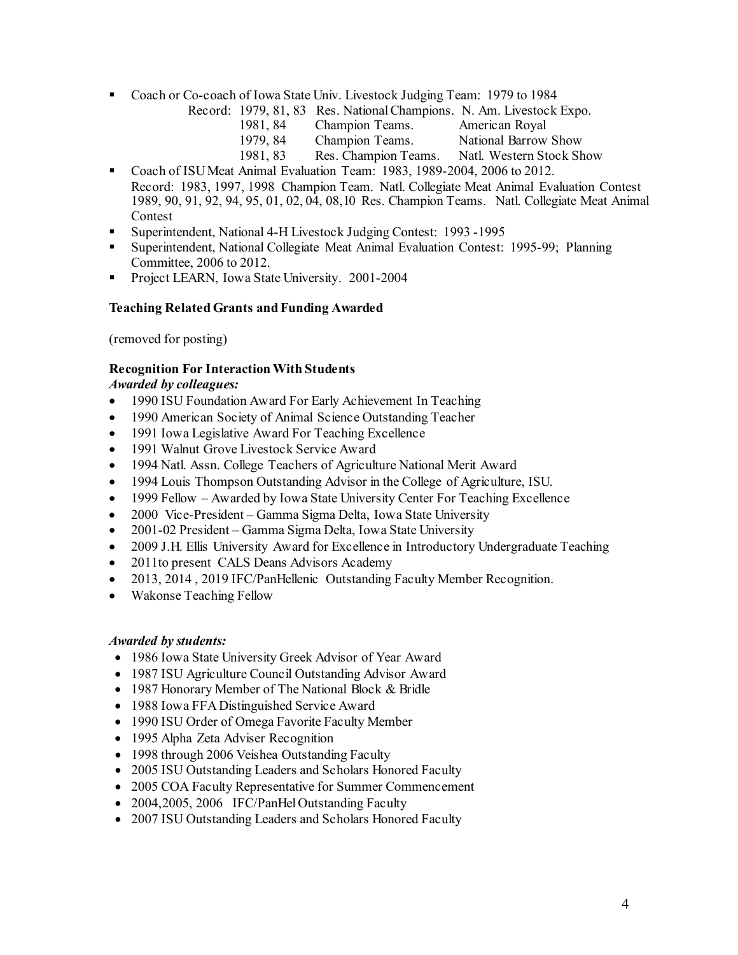- Coach or Co-coach of Iowa State Univ. Livestock Judging Team: 1979 to 1984
	- Record: 1979, 81, 83 Res. National Champions. N. Am. Livestock Expo.
		- 1981, 84 Champion Teams. American Royal
		- 1979, 84 Champion Teams. National Barrow Show
		- 1981, 83 Res. Champion Teams. Natl. Western Stock Show
- Coach of ISU Meat Animal Evaluation Team: 1983, 1989-2004, 2006 to 2012. Record: 1983, 1997, 1998 Champion Team. Natl. Collegiate Meat Animal Evaluation Contest 1989, 90, 91, 92, 94, 95, 01, 02, 04, 08,10 Res. Champion Teams. Natl. Collegiate Meat Animal Contest
- Superintendent, National 4-H Livestock Judging Contest: 1993 -1995
- Superintendent, National Collegiate Meat Animal Evaluation Contest: 1995-99; Planning Committee, 2006 to 2012.
- **Project LEARN, Iowa State University. 2001-2004**

### **Teaching Related Grants and Funding Awarded**

(removed for posting)

### **Recognition For Interaction With Students**

### *Awarded by colleagues:*

- 1990 ISU Foundation Award For Early Achievement In Teaching
- 1990 American Society of Animal Science Outstanding Teacher
- 1991 Iowa Legislative Award For Teaching Excellence
- 1991 Walnut Grove Livestock Service Award
- 1994 Natl. Assn. College Teachers of Agriculture National Merit Award
- 1994 Louis Thompson Outstanding Advisor in the College of Agriculture, ISU.
- 1999 Fellow Awarded by Iowa State University Center For Teaching Excellence
- 2000 Vice-President Gamma Sigma Delta, Iowa State University
- 2001-02 President Gamma Sigma Delta, Iowa State University
- 2009 J.H. Ellis University Award for Excellence in Introductory Undergraduate Teaching
- 2011to present CALS Deans Advisors Academy
- 2013, 2014 , 2019 IFC/PanHellenic Outstanding Faculty Member Recognition.
- Wakonse Teaching Fellow

#### *Awarded by students:*

- 1986 Iowa State University Greek Advisor of Year Award
- 1987 ISU Agriculture Council Outstanding Advisor Award
- 1987 Honorary Member of The National Block & Bridle
- 1988 Iowa FFA Distinguished Service Award
- 1990 ISU Order of Omega Favorite Faculty Member
- 1995 Alpha Zeta Adviser Recognition
- 1998 through 2006 Veishea Outstanding Faculty
- 2005 ISU Outstanding Leaders and Scholars Honored Faculty
- 2005 COA Faculty Representative for Summer Commencement
- 2004,2005, 2006 IFC/PanHel Outstanding Faculty
- 2007 ISU Outstanding Leaders and Scholars Honored Faculty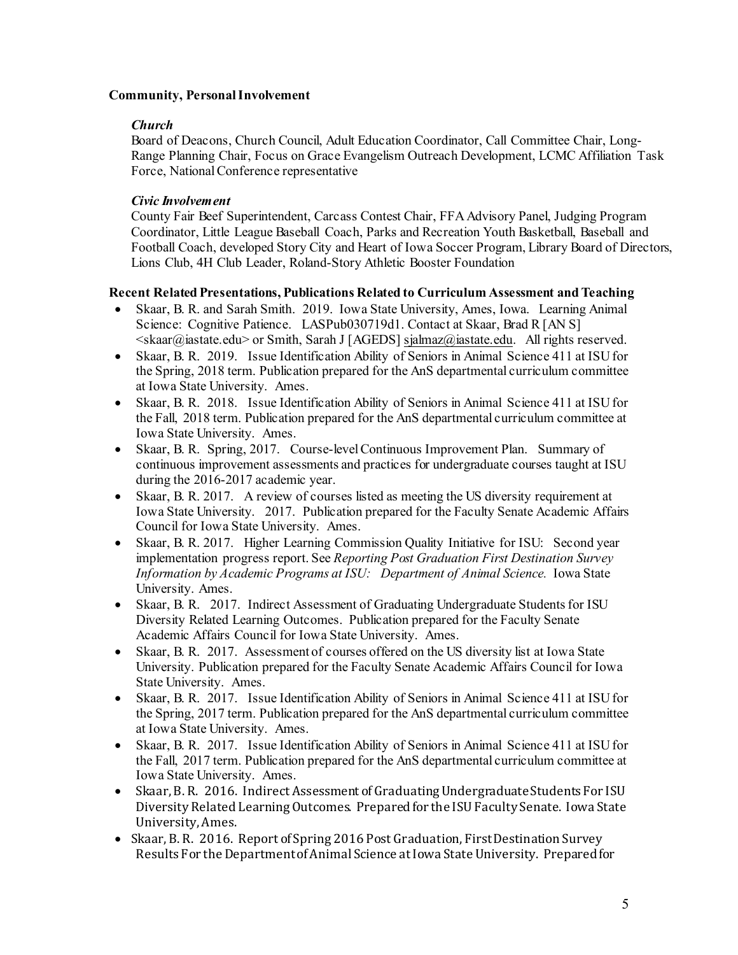### **Community, Personal Involvement**

### *Church*

Board of Deacons, Church Council, Adult Education Coordinator, Call Committee Chair, Long-Range Planning Chair, Focus on Grace Evangelism Outreach Development, LCMC Affiliation Task Force, National Conference representative

### *Civic Involvement*

County Fair Beef Superintendent, Carcass Contest Chair, FFA Advisory Panel, Judging Program Coordinator, Little League Baseball Coach, Parks and Recreation Youth Basketball, Baseball and Football Coach, developed Story City and Heart of Iowa Soccer Program, Library Board of Directors, Lions Club, 4H Club Leader, Roland-Story Athletic Booster Foundation

### **Recent Related Presentations, Publications Related to Curriculum Assessment and Teaching**

- Skaar, B. R. and Sarah Smith. 2019. Iowa State University, Ames, Iowa. Learning Animal Science: Cognitive Patience. LASPub030719d1. Contact at Skaar, Brad R [AN S] <skaar@iastate.edu> or Smith, Sarah J [AGEDS[\] sjalmaz@iastate.edu.](mailto:sjalmaz@iastate.edu) All rights reserved.
- Skaar, B. R. 2019. Issue Identification Ability of Seniors in Animal Science 411 at ISU for the Spring, 2018 term. Publication prepared for the AnS departmental curriculum committee at Iowa State University. Ames.
- Skaar, B. R. 2018. Issue Identification Ability of Seniors in Animal Science 411 at ISU for the Fall, 2018 term. Publication prepared for the AnS departmental curriculum committee at Iowa State University. Ames.
- Skaar, B. R. Spring, 2017. Course-level Continuous Improvement Plan. Summary of continuous improvement assessments and practices for undergraduate courses taught at ISU during the 2016-2017 academic year.
- Skaar, B. R. 2017. A review of courses listed as meeting the US diversity requirement at Iowa State University. 2017. Publication prepared for the Faculty Senate Academic Affairs Council for Iowa State University. Ames.
- Skaar, B. R. 2017. Higher Learning Commission Quality Initiative for ISU: Second year implementation progress report. See *Reporting Post Graduation First Destination Survey Information by Academic Programs at ISU: Department of Animal Science.* Iowa State University. Ames.
- Skaar, B. R. 2017. Indirect Assessment of Graduating Undergraduate Students for ISU Diversity Related Learning Outcomes. Publication prepared for the Faculty Senate Academic Affairs Council for Iowa State University. Ames.
- Skaar, B. R. 2017. Assessment of courses offered on the US diversity list at Iowa State University. Publication prepared for the Faculty Senate Academic Affairs Council for Iowa State University. Ames.
- Skaar, B. R. 2017. Issue Identification Ability of Seniors in Animal Science 411 at ISU for the Spring, 2017 term. Publication prepared for the AnS departmental curriculum committee at Iowa State University. Ames.
- Skaar, B. R. 2017. Issue Identification Ability of Seniors in Animal Science 411 at ISU for the Fall, 2017 term. Publication prepared for the AnS departmental curriculum committee at Iowa State University. Ames.
- Skaar, B. R. 2016. Indirect Assessment of Graduating Undergraduate Students For ISU Diversity Related Learning Outcomes. Prepared for the ISU Faculty Senate. Iowa State University, Ames.
- Skaar, B. R. 2016. Report of Spring 2016 Post Graduation, First Destination Survey Results For the Department of Animal Science at Iowa State University. Prepared for